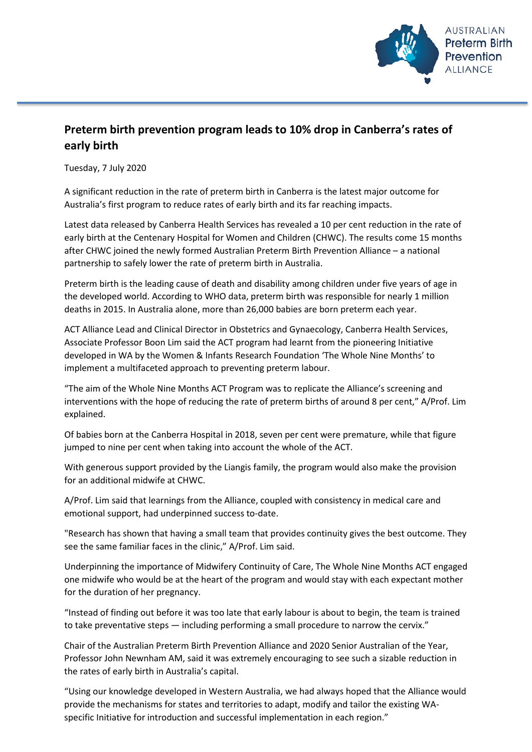

## **Preterm birth prevention program leads to 10% drop in Canberra's rates of early birth**

Tuesday, 7 July 2020

A significant reduction in the rate of preterm birth in Canberra is the latest major outcome for Australia's first program to reduce rates of early birth and its far reaching impacts.

Latest data released by Canberra Health Services has revealed a 10 per cent reduction in the rate of early birth at the Centenary Hospital for Women and Children (CHWC). The results come 15 months after CHWC joined the newly formed Australian Preterm Birth Prevention Alliance – a national partnership to safely lower the rate of preterm birth in Australia.

Preterm birth is the leading cause of death and disability among children under five years of age in the developed world. According to WHO data, preterm birth was responsible for nearly 1 million deaths in 2015. In Australia alone, more than 26,000 babies are born preterm each year.

ACT Alliance Lead and Clinical Director in Obstetrics and Gynaecology, Canberra Health Services, Associate Professor Boon Lim said the ACT program had learnt from the pioneering Initiative developed in WA by the Women & Infants Research Foundation 'The Whole Nine Months' to implement a multifaceted approach to preventing preterm labour.

"The aim of the Whole Nine Months ACT Program was to replicate the Alliance's screening and interventions with the hope of reducing the rate of preterm births of around 8 per cent," A/Prof. Lim explained.

Of babies born at the Canberra Hospital in 2018, seven per cent were premature, while that figure jumped to nine per cent when taking into account the whole of the ACT.

With generous support provided by the Liangis family, the program would also make the provision for an additional midwife at CHWC.

A/Prof. Lim said that learnings from the Alliance, coupled with consistency in medical care and emotional support, had underpinned success to-date.

"Research has shown that having a small team that provides continuity gives the best outcome. They see the same familiar faces in the clinic," A/Prof. Lim said.

Underpinning the importance of Midwifery Continuity of Care, The Whole Nine Months ACT engaged one midwife who would be at the heart of the program and would stay with each expectant mother for the duration of her pregnancy.

"Instead of finding out before it was too late that early labour is about to begin, the team is trained to take preventative steps — including performing a small procedure to narrow the cervix."

Chair of the Australian Preterm Birth Prevention Alliance and 2020 Senior Australian of the Year, Professor John Newnham AM, said it was extremely encouraging to see such a sizable reduction in the rates of early birth in Australia's capital.

"Using our knowledge developed in Western Australia, we had always hoped that the Alliance would provide the mechanisms for states and territories to adapt, modify and tailor the existing WAspecific Initiative for introduction and successful implementation in each region."